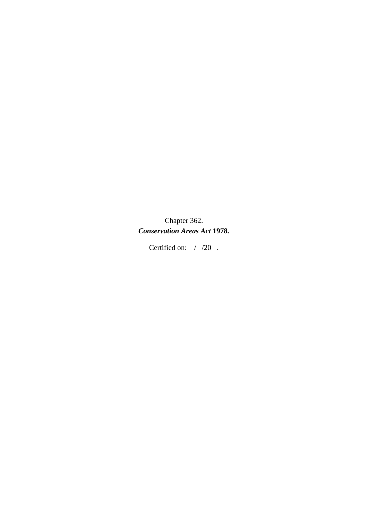Chapter 362. *Conservation Areas Act* **1978***.* 

Certified on: / /20.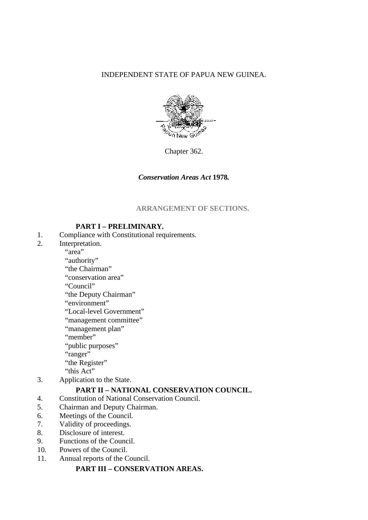INDEPENDENT STATE OF PAPUA NEW GUINEA.



Chapter 362.

#### *Conservation Areas Act* **1978***.*

**ARRANGEMENT OF SECTIONS.** 

#### **PART I – PRELIMINARY.**

- 1. Compliance with Constitutional requirements.
- 2. Interpretation.

"area"

"authority"

"the Chairman"

"conservation area"

"Council"

"the Deputy Chairman"

"environment"

"Local-level Government"

"management committee"

"management plan"

"member"

"public purposes"

"ranger"

"the Register"

"this Act"

3. Application to the State.

## **PART II – NATIONAL CONSERVATION COUNCIL.**

4. Constitution of National Conservation Council.

- 5. Chairman and Deputy Chairman.
- 6. Meetings of the Council.
- 7. Validity of proceedings.
- 8. Disclosure of interest.
- 9. Functions of the Council.
- 10. Powers of the Council.
- 11. Annual reports of the Council.

#### **PART III – CONSERVATION AREAS.**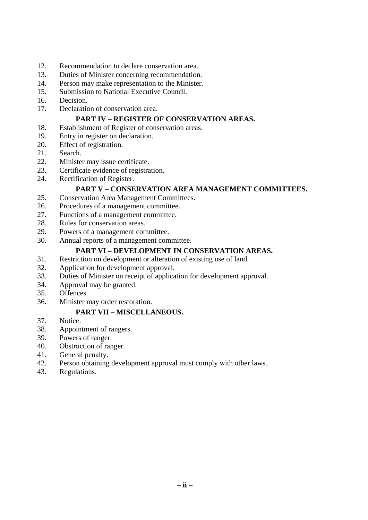- 12. Recommendation to declare conservation area.
- 13. Duties of Minister concerning recommendation.
- 14. Person may make representation to the Minister.
- 15. Submission to National Executive Council.
- 16. Decision.
- 17. Declaration of conservation area.

## **PART IV – REGISTER OF CONSERVATION AREAS.**

- 18. Establishment of Register of conservation areas.
- 19. Entry in register on declaration.
- 20. Effect of registration.
- 21. Search.
- 22. Minister may issue certificate.
- 23. Certificate evidence of registration.
- 24. Rectification of Register.

## **PART V – CONSERVATION AREA MANAGEMENT COMMITTEES.**

- 25. Conservation Area Management Committees.
- 26. Procedures of a management committee.
- 27. Functions of a management committee.
- 28. Rules for conservation areas.
- 29. Powers of a management committee.
- 30. Annual reports of a management committee.

## **PART VI – DEVELOPMENT IN CONSERVATION AREAS.**

- 31. Restriction on development or alteration of existing use of land.
- 32. Application for development approval.
- 33. Duties of Minister on receipt of application for development approval.
- 34. Approval may be granted.
- 35. Offences.
- 36. Minister may order restoration.

## **PART VII – MISCELLANEOUS.**

- 37. Notice.
- 38. Appointment of rangers.
- 39. Powers of ranger.
- 40. Obstruction of ranger.
- 41. General penalty.
- 42. Person obtaining development approval must comply with other laws.
- 43. Regulations.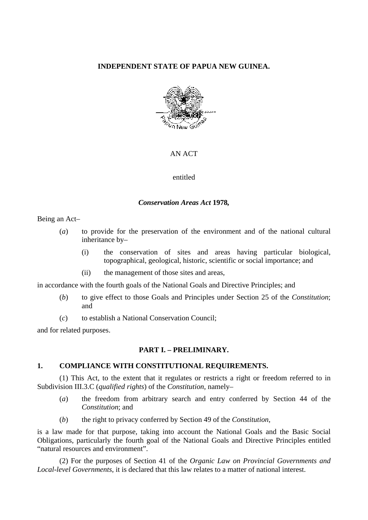#### **INDEPENDENT STATE OF PAPUA NEW GUINEA.**



#### AN ACT

#### entitled

#### *Conservation Areas Act* **1978***,*

Being an Act–

- (*a*) to provide for the preservation of the environment and of the national cultural inheritance by–
	- (i) the conservation of sites and areas having particular biological, topographical, geological, historic, scientific or social importance; and
	- (ii) the management of those sites and areas,

in accordance with the fourth goals of the National Goals and Directive Principles; and

- (*b*) to give effect to those Goals and Principles under Section 25 of the *Constitution*; and
- (*c*) to establish a National Conservation Council;

and for related purposes.

## **PART I. – PRELIMINARY.**

## **1. COMPLIANCE WITH CONSTITUTIONAL REQUIREMENTS.**

(1) This Act, to the extent that it regulates or restricts a right or freedom referred to in Subdivision III.3.C (*qualified rights*) of the *Constitution*, namely–

- (*a*) the freedom from arbitrary search and entry conferred by Section 44 of the *Constitution*; and
- (*b*) the right to privacy conferred by Section 49 of the *Constitution*,

is a law made for that purpose, taking into account the National Goals and the Basic Social Obligations, particularly the fourth goal of the National Goals and Directive Principles entitled "natural resources and environment".

(2) For the purposes of Section 41 of the *Organic Law on Provincial Governments and Local-level Governments*, it is declared that this law relates to a matter of national interest.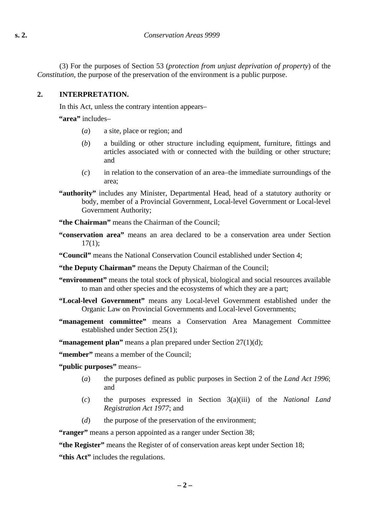(3) For the purposes of Section 53 (*protection from unjust deprivation of property*) of the *Constitution*, the purpose of the preservation of the environment is a public purpose.

#### **2. INTERPRETATION.**

In this Act, unless the contrary intention appears–

**"area"** includes–

- (*a*) a site, place or region; and
- (*b*) a building or other structure including equipment, furniture, fittings and articles associated with or connected with the building or other structure; and
- (*c*) in relation to the conservation of an area–the immediate surroundings of the area;
- **"authority"** includes any Minister, Departmental Head, head of a statutory authority or body, member of a Provincial Government, Local-level Government or Local-level Government Authority;
- **"the Chairman"** means the Chairman of the Council;
- **"conservation area"** means an area declared to be a conservation area under Section  $17(1)$ :
- **"Council"** means the National Conservation Council established under Section 4;
- **"the Deputy Chairman"** means the Deputy Chairman of the Council;
- **"environment"** means the total stock of physical, biological and social resources available to man and other species and the ecosystems of which they are a part;
- **"Local-level Government"** means any Local-level Government established under the Organic Law on Provincial Governments and Local-level Governments;
- **"management committee"** means a Conservation Area Management Committee established under Section 25(1);
- **"management plan"** means a plan prepared under Section 27(1)(d);

**"member"** means a member of the Council;

- **"public purposes"** means–
	- (*a*) the purposes defined as public purposes in Section 2 of the *Land Act 1996*; and
	- (*c*) the purposes expressed in Section 3(a)(iii) of the *National Land Registration Act 1977*; and
	- (*d*) the purpose of the preservation of the environment;

**"ranger"** means a person appointed as a ranger under Section 38;

**"the Register"** means the Register of of conservation areas kept under Section 18;

**"this Act"** includes the regulations.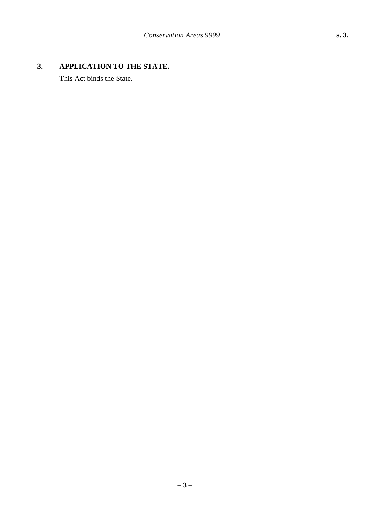# **3. APPLICATION TO THE STATE.**

This Act binds the State.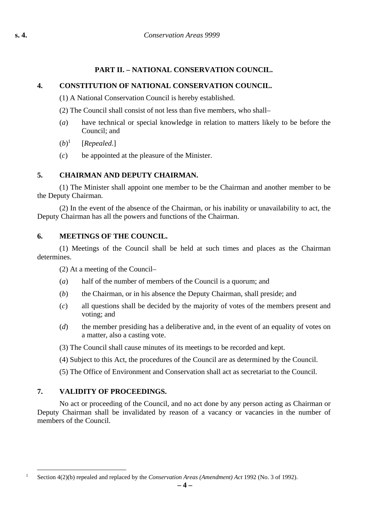# **PART II. – NATIONAL CONSERVATION COUNCIL.**

# **4. CONSTITUTION OF NATIONAL CONSERVATION COUNCIL.**

(1) A National Conservation Council is hereby established.

(2) The Council shall consist of not less than five members, who shall–

- (*a*) have technical or special knowledge in relation to matters likely to be before the Council; and
- $(b)^1$ [*Repealed*.]
- (*c*) be appointed at the pleasure of the Minister.

# **5. CHAIRMAN AND DEPUTY CHAIRMAN.**

(1) The Minister shall appoint one member to be the Chairman and another member to be the Deputy Chairman.

(2) In the event of the absence of the Chairman, or his inability or unavailability to act, the Deputy Chairman has all the powers and functions of the Chairman.

# **6. MEETINGS OF THE COUNCIL.**

(1) Meetings of the Council shall be held at such times and places as the Chairman determines.

(2) At a meeting of the Council–

- (*a*) half of the number of members of the Council is a quorum; and
- (*b*) the Chairman, or in his absence the Deputy Chairman, shall preside; and
- (*c*) all questions shall be decided by the majority of votes of the members present and voting; and
- (*d*) the member presiding has a deliberative and, in the event of an equality of votes on a matter, also a casting vote.
- (3) The Council shall cause minutes of its meetings to be recorded and kept.
- (4) Subject to this Act, the procedures of the Council are as determined by the Council.
- (5) The Office of Environment and Conservation shall act as secretariat to the Council.

# **7. VALIDITY OF PROCEEDINGS.**

No act or proceeding of the Council, and no act done by any person acting as Chairman or Deputy Chairman shall be invalidated by reason of a vacancy or vacancies in the number of members of the Council.

 <sup>1</sup> Section 4(2)(b) repealed and replaced by the *Conservation Areas (Amendment) Act* 1992 (No. 3 of 1992).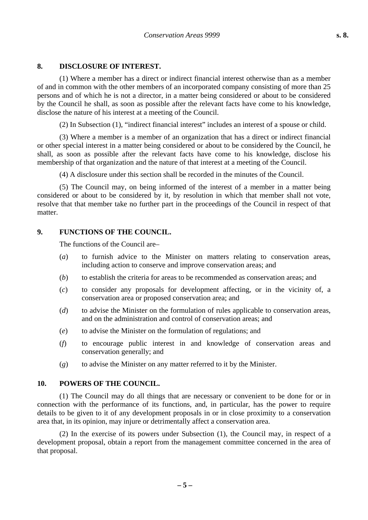#### **8. DISCLOSURE OF INTEREST.**

(1) Where a member has a direct or indirect financial interest otherwise than as a member of and in common with the other members of an incorporated company consisting of more than 25 persons and of which he is not a director, in a matter being considered or about to be considered by the Council he shall, as soon as possible after the relevant facts have come to his knowledge, disclose the nature of his interest at a meeting of the Council.

(2) In Subsection (1), "indirect financial interest" includes an interest of a spouse or child.

(3) Where a member is a member of an organization that has a direct or indirect financial or other special interest in a matter being considered or about to be considered by the Council, he shall, as soon as possible after the relevant facts have come to his knowledge, disclose his membership of that organization and the nature of that interest at a meeting of the Council.

(4) A disclosure under this section shall be recorded in the minutes of the Council.

(5) The Council may, on being informed of the interest of a member in a matter being considered or about to be considered by it, by resolution in which that member shall not vote, resolve that that member take no further part in the proceedings of the Council in respect of that matter.

#### **9. FUNCTIONS OF THE COUNCIL.**

The functions of the Council are–

- (*a*) to furnish advice to the Minister on matters relating to conservation areas, including action to conserve and improve conservation areas; and
- (*b*) to establish the criteria for areas to be recommended as conservation areas; and
- (*c*) to consider any proposals for development affecting, or in the vicinity of, a conservation area or proposed conservation area; and
- (*d*) to advise the Minister on the formulation of rules applicable to conservation areas, and on the administration and control of conservation areas; and
- (*e*) to advise the Minister on the formulation of regulations; and
- (*f*) to encourage public interest in and knowledge of conservation areas and conservation generally; and
- (*g*) to advise the Minister on any matter referred to it by the Minister.

#### **10. POWERS OF THE COUNCIL.**

(1) The Council may do all things that are necessary or convenient to be done for or in connection with the performance of its functions, and, in particular, has the power to require details to be given to it of any development proposals in or in close proximity to a conservation area that, in its opinion, may injure or detrimentally affect a conservation area.

(2) In the exercise of its powers under Subsection (1), the Council may, in respect of a development proposal, obtain a report from the management committee concerned in the area of that proposal.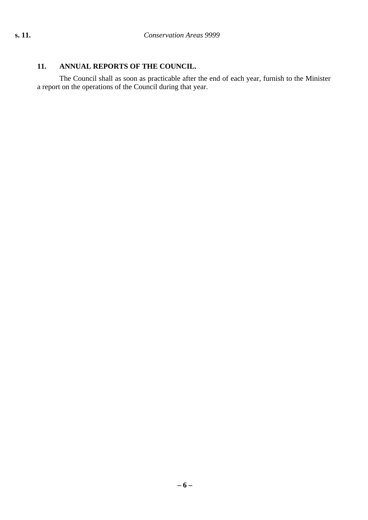# **11. ANNUAL REPORTS OF THE COUNCIL.**

The Council shall as soon as practicable after the end of each year, furnish to the Minister a report on the operations of the Council during that year.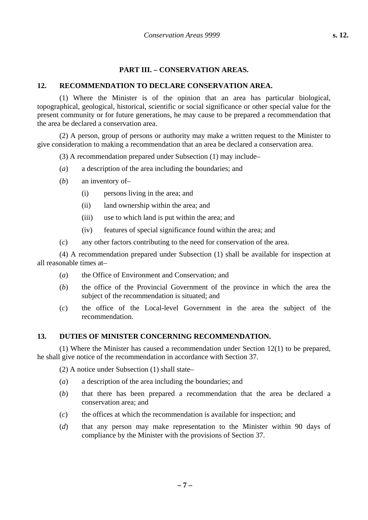#### **PART III. – CONSERVATION AREAS.**

#### **12. RECOMMENDATION TO DECLARE CONSERVATION AREA.**

(1) Where the Minister is of the opinion that an area has particular biological, topographical, geological, historical, scientific or social significance or other special value for the present community or for future generations, he may cause to be prepared a recommendation that the area be declared a conservation area.

(2) A person, group of persons or authority may make a written request to the Minister to give consideration to making a recommendation that an area be declared a conservation area.

(3) A recommendation prepared under Subsection (1) may include–

- (*a*) a description of the area including the boundaries; and
- (*b*) an inventory of–
	- (i) persons living in the area; and
	- (ii) land ownership within the area; and
	- (iii) use to which land is put within the area; and
	- (iv) features of special significance found within the area; and
- (*c*) any other factors contributing to the need for conservation of the area.

(4) A recommendation prepared under Subsection (1) shall be available for inspection at all reasonable times at–

- (*a*) the Office of Environment and Conservation; and
- (*b*) the office of the Provincial Government of the province in which the area the subject of the recommendation is situated; and
- (*c*) the office of the Local-level Government in the area the subject of the recommendation.

#### **13. DUTIES OF MINISTER CONCERNING RECOMMENDATION.**

(1) Where the Minister has caused a recommendation under Section 12(1) to be prepared, he shall give notice of the recommendation in accordance with Section 37.

(2) A notice under Subsection (1) shall state–

- (*a*) a description of the area including the boundaries; and
- (*b*) that there has been prepared a recommendation that the area be declared a conservation area; and
- (*c*) the offices at which the recommendation is available for inspection; and
- (*d*) that any person may make representation to the Minister within 90 days of compliance by the Minister with the provisions of Section 37.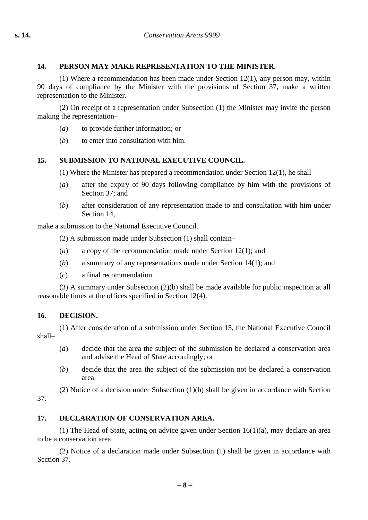## **14. PERSON MAY MAKE REPRESENTATION TO THE MINISTER.**

(1) Where a recommendation has been made under Section 12(1), any person may, within 90 days of compliance by the Minister with the provisions of Section 37, make a written representation to the Minister.

(2) On receipt of a representation under Subsection (1) the Minister may invite the person making the representation–

- (*a*) to provide further information; or
- (*b*) to enter into consultation with him.

# **15. SUBMISSION TO NATIONAL EXECUTIVE COUNCIL.**

(1) Where the Minister has prepared a recommendation under Section 12(1), he shall–

- (*a*) after the expiry of 90 days following compliance by him with the provisions of Section 37; and
- (*b*) after consideration of any representation made to and consultation with him under Section 14

make a submission to the National Executive Council.

(2) A submission made under Subsection (1) shall contain–

- (*a*) a copy of the recommendation made under Section 12(1); and
- (*b*) a summary of any representations made under Section 14(1); and
- (*c*) a final recommendation.

(3) A summary under Subsection (2)(b) shall be made available for public inspection at all reasonable times at the offices specified in Section 12(4).

## **16. DECISION.**

(1) After consideration of a submission under Section 15, the National Executive Council shall–

- (*a*) decide that the area the subject of the submission be declared a conservation area and advise the Head of State accordingly; or
- (*b*) decide that the area the subject of the submission not be declared a conservation area.

(2) Notice of a decision under Subsection (1)(b) shall be given in accordance with Section 37.

# **17. DECLARATION OF CONSERVATION AREA.**

(1) The Head of State, acting on advice given under Section 16(1)(a), may declare an area to be a conservation area.

(2) Notice of a declaration made under Subsection (1) shall be given in accordance with Section 37.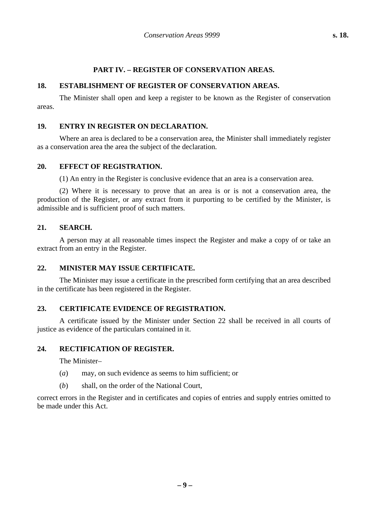## **PART IV. – REGISTER OF CONSERVATION AREAS.**

# **18. ESTABLISHMENT OF REGISTER OF CONSERVATION AREAS.**

The Minister shall open and keep a register to be known as the Register of conservation areas.

## **19. ENTRY IN REGISTER ON DECLARATION.**

Where an area is declared to be a conservation area, the Minister shall immediately register as a conservation area the area the subject of the declaration.

#### **20. EFFECT OF REGISTRATION.**

(1) An entry in the Register is conclusive evidence that an area is a conservation area.

(2) Where it is necessary to prove that an area is or is not a conservation area, the production of the Register, or any extract from it purporting to be certified by the Minister, is admissible and is sufficient proof of such matters.

#### **21. SEARCH.**

A person may at all reasonable times inspect the Register and make a copy of or take an extract from an entry in the Register.

#### **22. MINISTER MAY ISSUE CERTIFICATE.**

The Minister may issue a certificate in the prescribed form certifying that an area described in the certificate has been registered in the Register.

## **23. CERTIFICATE EVIDENCE OF REGISTRATION.**

A certificate issued by the Minister under Section 22 shall be received in all courts of justice as evidence of the particulars contained in it.

#### **24. RECTIFICATION OF REGISTER.**

The Minister–

- (*a*) may, on such evidence as seems to him sufficient; or
- (*b*) shall, on the order of the National Court,

correct errors in the Register and in certificates and copies of entries and supply entries omitted to be made under this Act.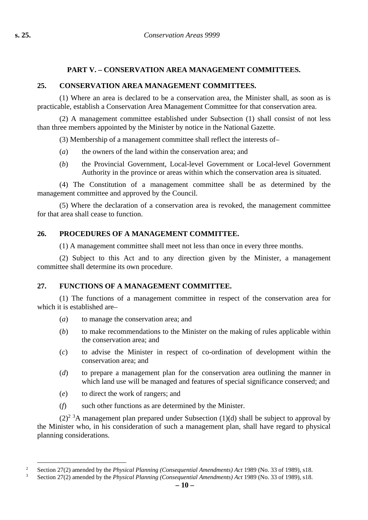# **PART V. – CONSERVATION AREA MANAGEMENT COMMITTEES.**

## **25. CONSERVATION AREA MANAGEMENT COMMITTEES.**

(1) Where an area is declared to be a conservation area, the Minister shall, as soon as is practicable, establish a Conservation Area Management Committee for that conservation area.

(2) A management committee established under Subsection (1) shall consist of not less than three members appointed by the Minister by notice in the National Gazette.

(3) Membership of a management committee shall reflect the interests of–

- (*a*) the owners of the land within the conservation area; and
- (*b*) the Provincial Government, Local-level Government or Local-level Government Authority in the province or areas within which the conservation area is situated.

(4) The Constitution of a management committee shall be as determined by the management committee and approved by the Council.

(5) Where the declaration of a conservation area is revoked, the management committee for that area shall cease to function.

## **26. PROCEDURES OF A MANAGEMENT COMMITTEE.**

(1) A management committee shall meet not less than once in every three months.

(2) Subject to this Act and to any direction given by the Minister, a management committee shall determine its own procedure.

## **27. FUNCTIONS OF A MANAGEMENT COMMITTEE.**

(1) The functions of a management committee in respect of the conservation area for which it is established are–

- (*a*) to manage the conservation area; and
- (*b*) to make recommendations to the Minister on the making of rules applicable within the conservation area; and
- (*c*) to advise the Minister in respect of co-ordination of development within the conservation area; and
- (*d*) to prepare a management plan for the conservation area outlining the manner in which land use will be managed and features of special significance conserved; and
- (*e*) to direct the work of rangers; and
- (*f*) such other functions as are determined by the Minister.

 $(2)^{2}$ <sup>3</sup>A management plan prepared under Subsection (1)(d) shall be subject to approval by the Minister who, in his consideration of such a management plan, shall have regard to physical planning considerations.

<sup>&</sup>lt;sup>2</sup> Section 27(2) amended by the *Physical Planning (Consequential Amendments) Act* 1989 (No. 33 of 1989), s18.<br><sup>3</sup> Section 27(2) amended by the *Physical Planning (Consequential Amendments) Act* 1989 (No. <sup>22</sup> of 1989), s

<sup>3</sup> Section 27(2) amended by the *Physical Planning (Consequential Amendments) Act* 1989 (No. 33 of 1989), s18.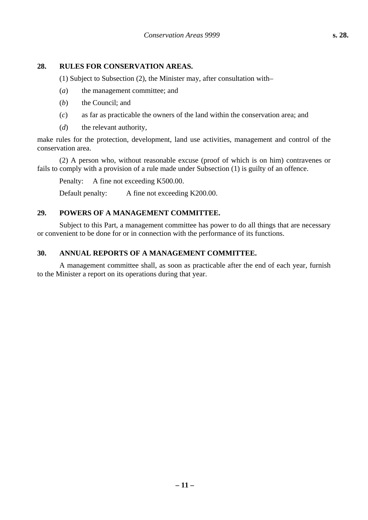## **28. RULES FOR CONSERVATION AREAS.**

(1) Subject to Subsection (2), the Minister may, after consultation with–

- (*a*) the management committee; and
- (*b*) the Council; and
- (*c*) as far as practicable the owners of the land within the conservation area; and
- (*d*) the relevant authority,

make rules for the protection, development, land use activities, management and control of the conservation area.

(2) A person who, without reasonable excuse (proof of which is on him) contravenes or fails to comply with a provision of a rule made under Subsection (1) is guilty of an offence.

Penalty: A fine not exceeding K500.00.

Default penalty: A fine not exceeding K200.00.

## **29. POWERS OF A MANAGEMENT COMMITTEE.**

Subject to this Part, a management committee has power to do all things that are necessary or convenient to be done for or in connection with the performance of its functions.

## **30. ANNUAL REPORTS OF A MANAGEMENT COMMITTEE.**

A management committee shall, as soon as practicable after the end of each year, furnish to the Minister a report on its operations during that year.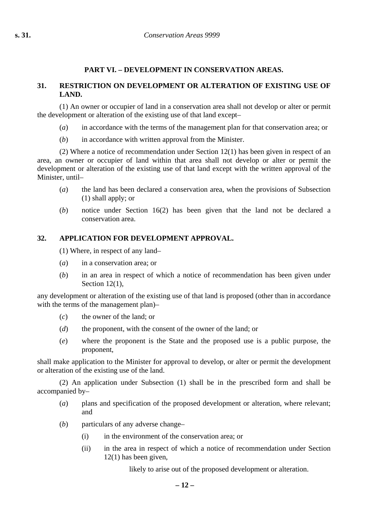## **PART VI. – DEVELOPMENT IN CONSERVATION AREAS.**

#### **31. RESTRICTION ON DEVELOPMENT OR ALTERATION OF EXISTING USE OF LAND.**

(1) An owner or occupier of land in a conservation area shall not develop or alter or permit the development or alteration of the existing use of that land except–

- (*a*) in accordance with the terms of the management plan for that conservation area; or
- (*b*) in accordance with written approval from the Minister.

(2) Where a notice of recommendation under Section 12(1) has been given in respect of an area, an owner or occupier of land within that area shall not develop or alter or permit the development or alteration of the existing use of that land except with the written approval of the Minister, until–

- (*a*) the land has been declared a conservation area, when the provisions of Subsection (1) shall apply; or
- (*b*) notice under Section 16(2) has been given that the land not be declared a conservation area.

## **32. APPLICATION FOR DEVELOPMENT APPROVAL.**

(1) Where, in respect of any land–

- (*a*) in a conservation area; or
- (*b*) in an area in respect of which a notice of recommendation has been given under Section 12(1),

any development or alteration of the existing use of that land is proposed (other than in accordance with the terms of the management plan)–

- (*c*) the owner of the land; or
- (*d*) the proponent, with the consent of the owner of the land; or
- (*e*) where the proponent is the State and the proposed use is a public purpose, the proponent,

shall make application to the Minister for approval to develop, or alter or permit the development or alteration of the existing use of the land.

(2) An application under Subsection (1) shall be in the prescribed form and shall be accompanied by–

- (*a*) plans and specification of the proposed development or alteration, where relevant; and
- (*b*) particulars of any adverse change–
	- (i) in the environment of the conservation area; or
	- (ii) in the area in respect of which a notice of recommendation under Section 12(1) has been given,

likely to arise out of the proposed development or alteration.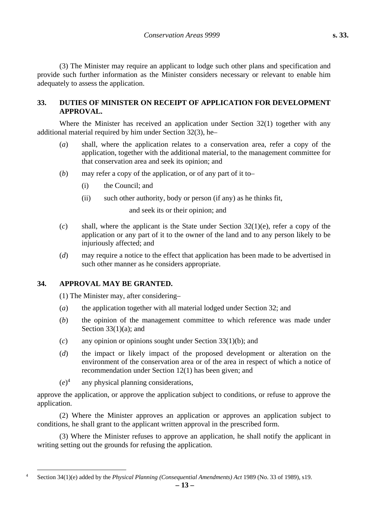(3) The Minister may require an applicant to lodge such other plans and specification and provide such further information as the Minister considers necessary or relevant to enable him adequately to assess the application.

## **33. DUTIES OF MINISTER ON RECEIPT OF APPLICATION FOR DEVELOPMENT APPROVAL.**

Where the Minister has received an application under Section 32(1) together with any additional material required by him under Section 32(3), he–

- (*a*) shall, where the application relates to a conservation area, refer a copy of the application, together with the additional material, to the management committee for that conservation area and seek its opinion; and
- (*b*) may refer a copy of the application, or of any part of it to–
	- (i) the Council; and
	- (ii) such other authority, body or person (if any) as he thinks fit,

and seek its or their opinion; and

- (*c*) shall, where the applicant is the State under Section 32(1)(e), refer a copy of the application or any part of it to the owner of the land and to any person likely to be injuriously affected; and
- (*d*) may require a notice to the effect that application has been made to be advertised in such other manner as he considers appropriate.

# **34. APPROVAL MAY BE GRANTED.**

(1) The Minister may, after considering–

- (*a*) the application together with all material lodged under Section 32; and
- (*b*) the opinion of the management committee to which reference was made under Section  $33(1)(a)$ ; and
- (*c*) any opinion or opinions sought under Section 33(1)(b); and
- (*d*) the impact or likely impact of the proposed development or alteration on the environment of the conservation area or of the area in respect of which a notice of recommendation under Section 12(1) has been given; and
- $(e)^4$ any physical planning considerations,

approve the application, or approve the application subject to conditions, or refuse to approve the application.

(2) Where the Minister approves an application or approves an application subject to conditions, he shall grant to the applicant written approval in the prescribed form.

(3) Where the Minister refuses to approve an application, he shall notify the applicant in writing setting out the grounds for refusing the application.

 <sup>4</sup> Section 34(1)(e) added by the *Physical Planning (Consequential Amendments) Act* 1989 (No. 33 of 1989), s19.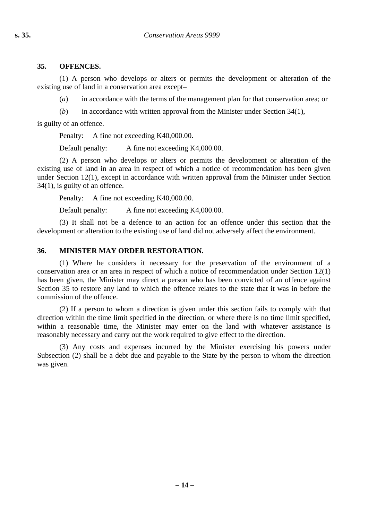#### **35. OFFENCES.**

(1) A person who develops or alters or permits the development or alteration of the existing use of land in a conservation area except–

(*a*) in accordance with the terms of the management plan for that conservation area; or

(*b*) in accordance with written approval from the Minister under Section 34(1),

is guilty of an offence.

Penalty: A fine not exceeding K40,000.00.

Default penalty: A fine not exceeding K4,000.00.

(2) A person who develops or alters or permits the development or alteration of the existing use of land in an area in respect of which a notice of recommendation has been given under Section 12(1), except in accordance with written approval from the Minister under Section 34(1), is guilty of an offence.

Penalty: A fine not exceeding K40,000.00.

Default penalty: A fine not exceeding K4,000.00.

(3) It shall not be a defence to an action for an offence under this section that the development or alteration to the existing use of land did not adversely affect the environment.

## **36. MINISTER MAY ORDER RESTORATION.**

(1) Where he considers it necessary for the preservation of the environment of a conservation area or an area in respect of which a notice of recommendation under Section 12(1) has been given, the Minister may direct a person who has been convicted of an offence against Section 35 to restore any land to which the offence relates to the state that it was in before the commission of the offence.

(2) If a person to whom a direction is given under this section fails to comply with that direction within the time limit specified in the direction, or where there is no time limit specified, within a reasonable time, the Minister may enter on the land with whatever assistance is reasonably necessary and carry out the work required to give effect to the direction.

(3) Any costs and expenses incurred by the Minister exercising his powers under Subsection (2) shall be a debt due and payable to the State by the person to whom the direction was given.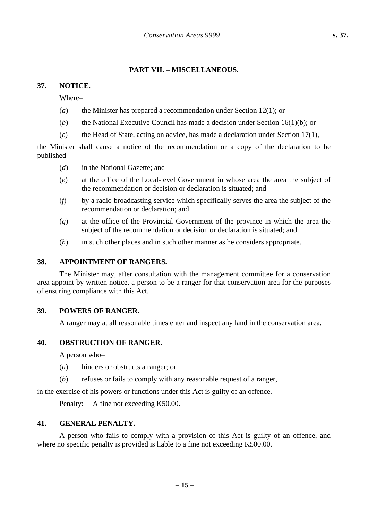#### **PART VII. – MISCELLANEOUS.**

#### **37. NOTICE.**

Where–

- (*a*) the Minister has prepared a recommendation under Section 12(1); or
- (*b*) the National Executive Council has made a decision under Section 16(1)(b); or
- (*c*) the Head of State, acting on advice, has made a declaration under Section 17(1),

the Minister shall cause a notice of the recommendation or a copy of the declaration to be published–

- (*d*) in the National Gazette; and
- (*e*) at the office of the Local-level Government in whose area the area the subject of the recommendation or decision or declaration is situated; and
- (*f*) by a radio broadcasting service which specifically serves the area the subject of the recommendation or declaration; and
- (*g*) at the office of the Provincial Government of the province in which the area the subject of the recommendation or decision or declaration is situated; and
- (*h*) in such other places and in such other manner as he considers appropriate.

#### **38. APPOINTMENT OF RANGERS.**

The Minister may, after consultation with the management committee for a conservation area appoint by written notice, a person to be a ranger for that conservation area for the purposes of ensuring compliance with this Act.

#### **39. POWERS OF RANGER.**

A ranger may at all reasonable times enter and inspect any land in the conservation area.

#### **40. OBSTRUCTION OF RANGER.**

A person who–

- (*a*) hinders or obstructs a ranger; or
- (*b*) refuses or fails to comply with any reasonable request of a ranger,

in the exercise of his powers or functions under this Act is guilty of an offence.

Penalty: A fine not exceeding K50.00.

#### **41. GENERAL PENALTY.**

A person who fails to comply with a provision of this Act is guilty of an offence, and where no specific penalty is provided is liable to a fine not exceeding K500.00.